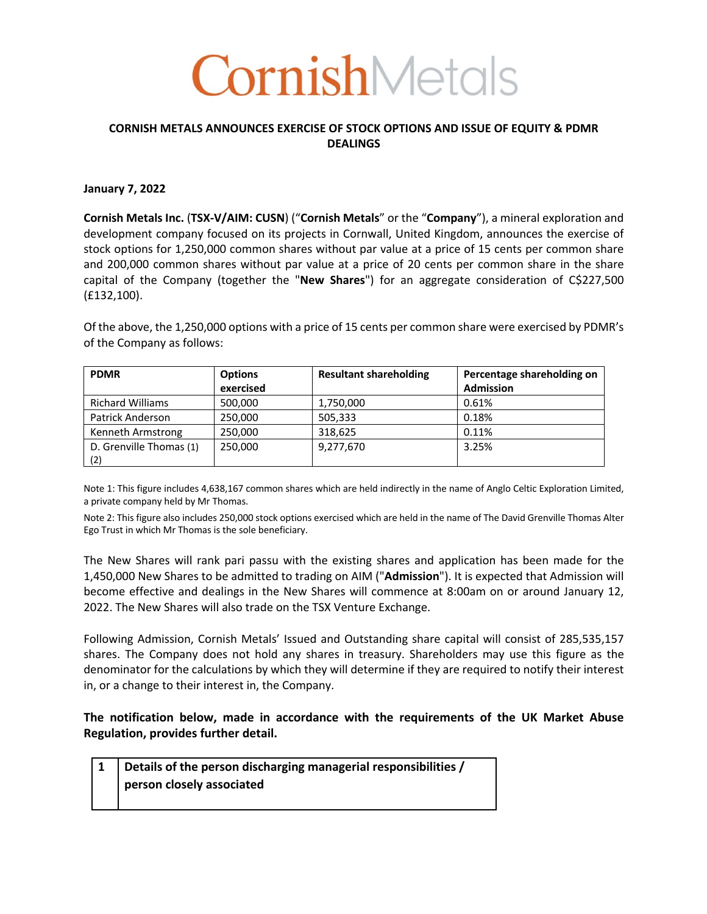# **CornishMetals**

## **CORNISH METALS ANNOUNCES EXERCISE OF STOCK OPTIONS AND ISSUE OF EQUITY & PDMR DEALINGS**

## **January 7, 2022**

**Cornish Metals Inc.** (**TSX-V/AIM: CUSN**) ("**Cornish Metals**" or the "**Company**"), a mineral exploration and development company focused on its projects in Cornwall, United Kingdom, announces the exercise of stock options for 1,250,000 common shares without par value at a price of 15 cents per common share and 200,000 common shares without par value at a price of 20 cents per common share in the share capital of the Company (together the "New Shares") for an aggregate consideration of C\$227,500 (£132,100).

Of the above, the 1,250,000 options with a price of 15 cents per common share were exercised by PDMR's of the Company as follows:

| <b>PDMR</b>             | <b>Options</b> | <b>Resultant shareholding</b> | Percentage shareholding on |
|-------------------------|----------------|-------------------------------|----------------------------|
|                         | exercised      |                               | <b>Admission</b>           |
| <b>Richard Williams</b> | 500,000        | 1,750,000                     | 0.61%                      |
| <b>Patrick Anderson</b> | 250,000        | 505,333                       | 0.18%                      |
| Kenneth Armstrong       | 250,000        | 318,625                       | 0.11%                      |
| D. Grenville Thomas (1) | 250,000        | 9,277,670                     | 3.25%                      |
| (2)                     |                |                               |                            |

Note 1: This figure includes 4,638,167 common shares which are held indirectly in the name of Anglo Celtic Exploration Limited, a private company held by Mr Thomas.

Note 2: This figure also includes 250,000 stock options exercised which are held in the name of The David Grenville Thomas Alter Ego Trust in which Mr Thomas is the sole beneficiary.

The New Shares will rank pari passu with the existing shares and application has been made for the 1,450,000 New Shares to be admitted to trading on AIM ("**Admission**"). It is expected that Admission will become effective and dealings in the New Shares will commence at 8:00am on or around January 12, 2022. The New Shares will also trade on the TSX Venture Exchange.

Following Admission, Cornish Metals' Issued and Outstanding share capital will consist of 285,535,157 shares. The Company does not hold any shares in treasury. Shareholders may use this figure as the denominator for the calculations by which they will determine if they are required to notify their interest in, or a change to their interest in, the Company.

**The notification below, made in accordance with the requirements of the UK Market Abuse Regulation, provides further detail.**

## **1 Details of the person discharging managerial responsibilities / person closely associated**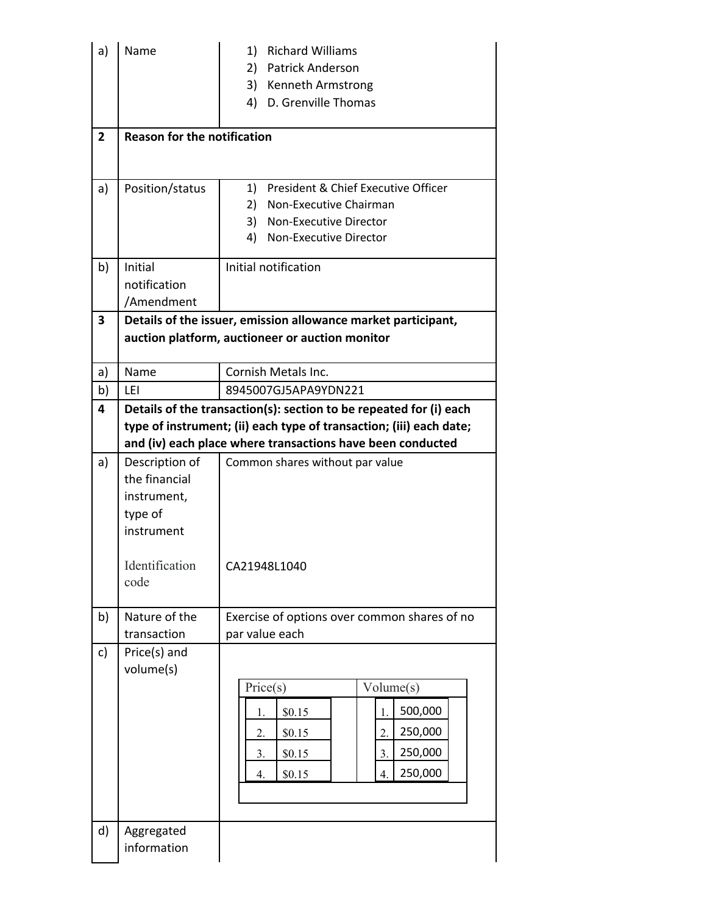| a)             | Name                                                                                              | 1)<br><b>Richard Williams</b><br>2) Patrick Anderson<br>3) Kenneth Armstrong<br>4) D. Grenville Thomas                                                                                                  |  |  |
|----------------|---------------------------------------------------------------------------------------------------|---------------------------------------------------------------------------------------------------------------------------------------------------------------------------------------------------------|--|--|
| $\overline{2}$ | <b>Reason for the notification</b>                                                                |                                                                                                                                                                                                         |  |  |
| a)             | Position/status                                                                                   | President & Chief Executive Officer<br>1)<br>2)<br>Non-Executive Chairman<br>3) Non-Executive Director<br>4)<br>Non-Executive Director                                                                  |  |  |
| b)             | Initial<br>notification<br>/Amendment                                                             | Initial notification                                                                                                                                                                                    |  |  |
| 3              |                                                                                                   | Details of the issuer, emission allowance market participant,<br>auction platform, auctioneer or auction monitor                                                                                        |  |  |
| a)             | Name                                                                                              | Cornish Metals Inc.                                                                                                                                                                                     |  |  |
| b)             | LEI                                                                                               | 8945007GJ5APA9YDN221                                                                                                                                                                                    |  |  |
| 4              |                                                                                                   | Details of the transaction(s): section to be repeated for (i) each<br>type of instrument; (ii) each type of transaction; (iii) each date;<br>and (iv) each place where transactions have been conducted |  |  |
| a)             | Description of<br>the financial<br>instrument,<br>type of<br>instrument<br>Identification<br>code | Common shares without par value<br>CA21948L1040                                                                                                                                                         |  |  |
| b)             | Nature of the<br>transaction                                                                      | Exercise of options over common shares of no<br>par value each                                                                                                                                          |  |  |
| c)             | Price(s) and<br>volume(s)                                                                         | Price(s)<br>Volume(s)<br>500,000<br>1.<br>\$0.15<br>1.<br>250,000<br>2.<br>\$0.15<br>2.<br>250,000<br>3.<br>\$0.15<br>3.<br>250,000<br>\$0.15<br>4.<br>4.                                               |  |  |
| d)             | Aggregated<br>information                                                                         |                                                                                                                                                                                                         |  |  |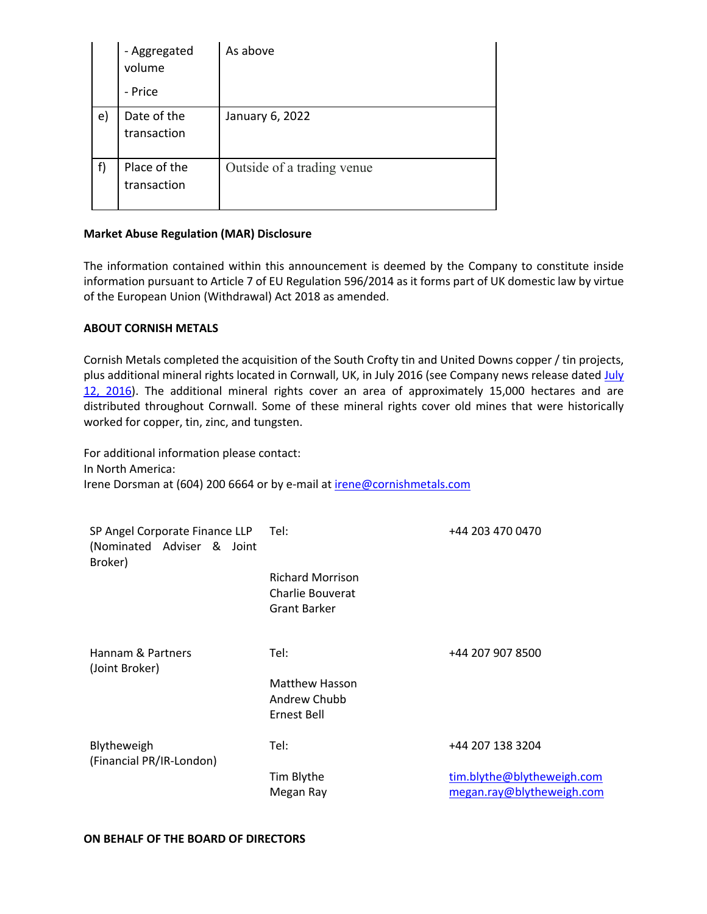|    | - Aggregated<br>volume<br>- Price | As above                   |
|----|-----------------------------------|----------------------------|
| e) | Date of the<br>transaction        | January 6, 2022            |
| f) | Place of the<br>transaction       | Outside of a trading venue |

## **Market Abuse Regulation (MAR) Disclosure**

The information contained within this announcement is deemed by the Company to constitute inside information pursuant to Article 7 of EU Regulation 596/2014 as it forms part of UK domestic law by virtue of the European Union (Withdrawal) Act 2018 as amended.

## **ABOUT CORNISH METALS**

Cornish Metals completed the acquisition of the South Crofty tin and United Downs copper / tin projects, plus additional mineral rights located in Cornwall, UK, in July 2016 (see Company news release dated July 12, 2016). The additional mineral rights cover an area of approximately 15,000 hectares and are distributed throughout Cornwall. Some of these mineral rights cover old mines that were historically worked for copper, tin, zinc, and tungsten.

For additional information please contact: In North America: Irene Dorsman at (604) 200 6664 or by e-mail at irene@cornishmetals.com

| SP Angel Corporate Finance LLP Tel:<br>(Nominated Adviser & Joint<br>Broker) |                                                             | +44 203 470 0470                                        |
|------------------------------------------------------------------------------|-------------------------------------------------------------|---------------------------------------------------------|
|                                                                              | <b>Richard Morrison</b><br>Charlie Bouverat<br>Grant Barker |                                                         |
| Hannam & Partners<br>(Joint Broker)                                          | Tel:                                                        | +44 207 907 8500                                        |
|                                                                              | <b>Matthew Hasson</b><br>Andrew Chubb<br>Ernest Bell        |                                                         |
| Blytheweigh<br>(Financial PR/IR-London)                                      | Tel:                                                        | +44 207 138 3204                                        |
|                                                                              | Tim Blythe<br>Megan Ray                                     | tim.blythe@blytheweigh.com<br>megan.ray@blytheweigh.com |